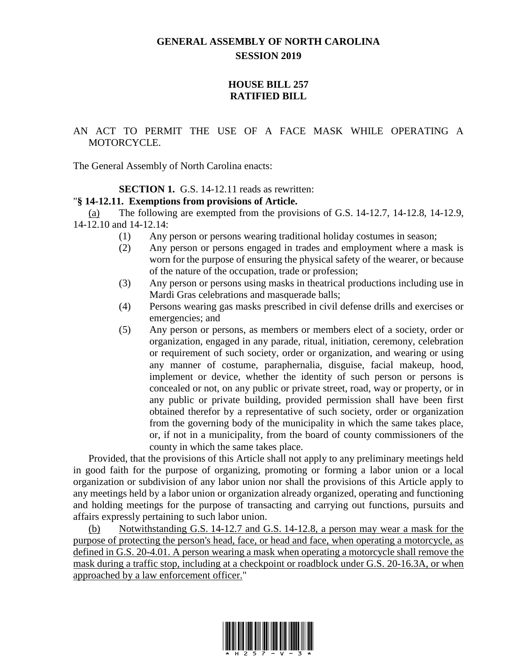# **GENERAL ASSEMBLY OF NORTH CAROLINA SESSION 2019**

## **HOUSE BILL 257 RATIFIED BILL**

## AN ACT TO PERMIT THE USE OF A FACE MASK WHILE OPERATING A MOTORCYCLE.

The General Assembly of North Carolina enacts:

### **SECTION 1.** G.S. 14-12.11 reads as rewritten:

### "**§ 14-12.11. Exemptions from provisions of Article.**

(a) The following are exempted from the provisions of G.S. 14-12.7, 14-12.8, 14-12.9, 14-12.10 and 14-12.14:

- (1) Any person or persons wearing traditional holiday costumes in season;
- (2) Any person or persons engaged in trades and employment where a mask is worn for the purpose of ensuring the physical safety of the wearer, or because of the nature of the occupation, trade or profession;
- (3) Any person or persons using masks in theatrical productions including use in Mardi Gras celebrations and masquerade balls;
- (4) Persons wearing gas masks prescribed in civil defense drills and exercises or emergencies; and
- (5) Any person or persons, as members or members elect of a society, order or organization, engaged in any parade, ritual, initiation, ceremony, celebration or requirement of such society, order or organization, and wearing or using any manner of costume, paraphernalia, disguise, facial makeup, hood, implement or device, whether the identity of such person or persons is concealed or not, on any public or private street, road, way or property, or in any public or private building, provided permission shall have been first obtained therefor by a representative of such society, order or organization from the governing body of the municipality in which the same takes place, or, if not in a municipality, from the board of county commissioners of the county in which the same takes place.

Provided, that the provisions of this Article shall not apply to any preliminary meetings held in good faith for the purpose of organizing, promoting or forming a labor union or a local organization or subdivision of any labor union nor shall the provisions of this Article apply to any meetings held by a labor union or organization already organized, operating and functioning and holding meetings for the purpose of transacting and carrying out functions, pursuits and affairs expressly pertaining to such labor union.

(b) Notwithstanding G.S. 14-12.7 and G.S. 14-12.8, a person may wear a mask for the purpose of protecting the person's head, face, or head and face, when operating a motorcycle, as defined in G.S. 20-4.01. A person wearing a mask when operating a motorcycle shall remove the mask during a traffic stop, including at a checkpoint or roadblock under G.S. 20-16.3A, or when approached by a law enforcement officer."